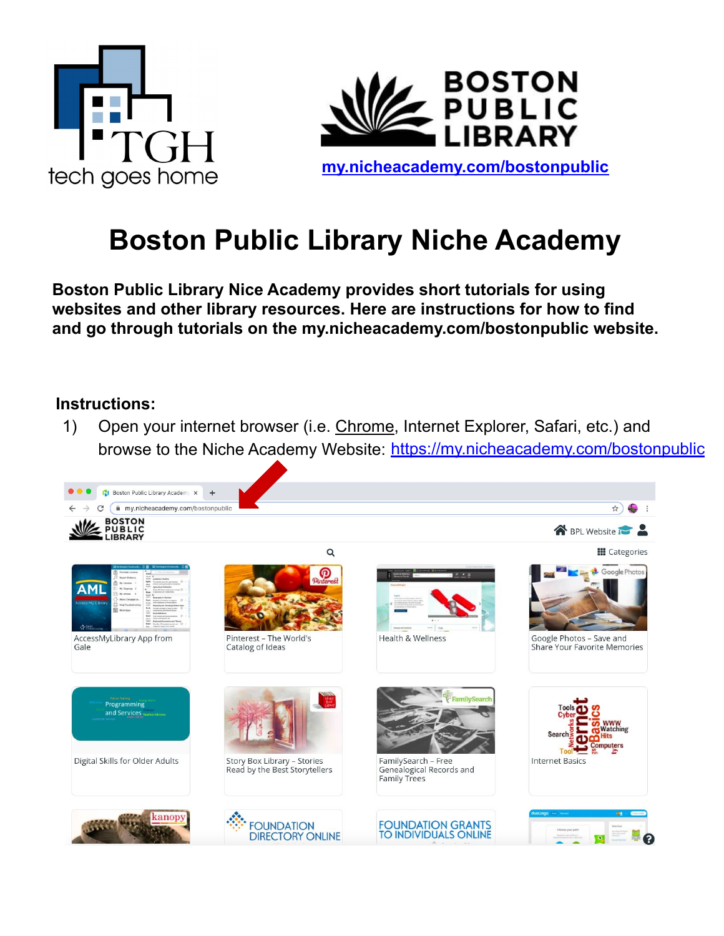



## **Boston Public Library Niche Academy**

**Boston Public Library Nice Academy provides short tutorials for using websites and other library resources. Here are instructions for how to find and go through tutorials on the my.nicheacademy.com/bostonpublic website.**

## **Instructions:**

1) Open your internet browser (i.e. Chrome, Internet Explorer, Safari, etc.) and browse to the Niche Academy Website: <https://my.nicheacademy.com/bostonpublic>

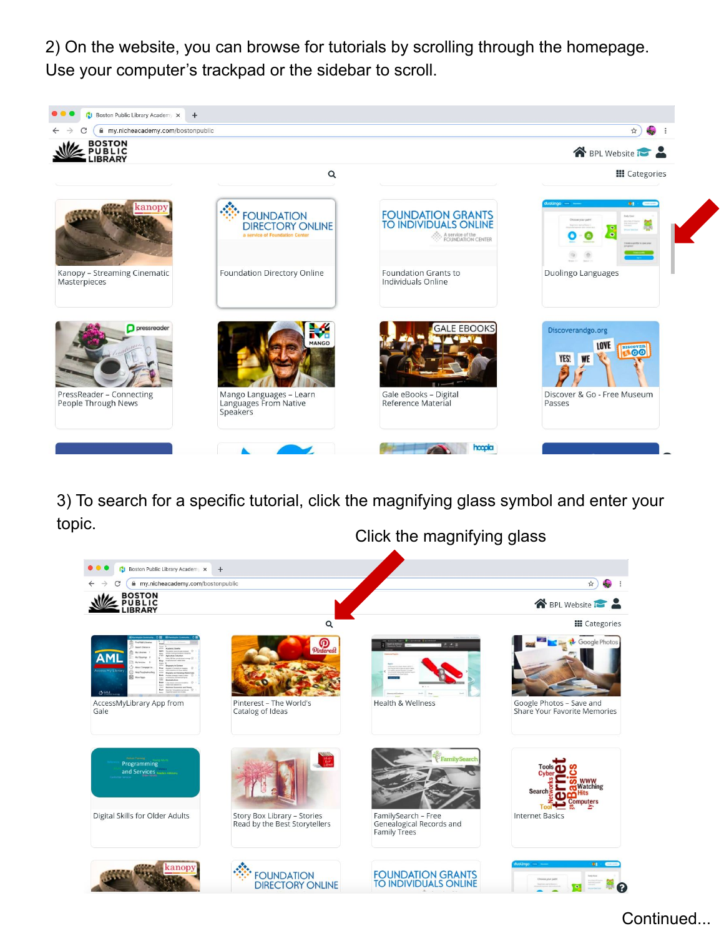2) On the website, you can browse for tutorials by scrolling through the homepage. Use your computer's trackpad or the sidebar to scroll.



3) To search for a specific tutorial, click the magnifying glass symbol and enter your topic.



Continued...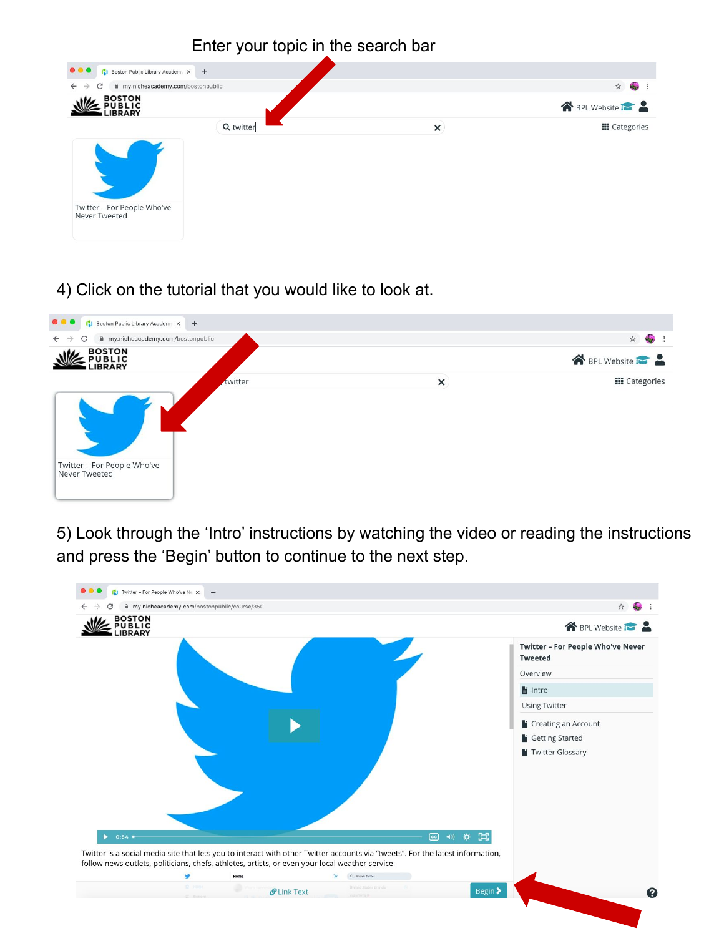

## 4) Click on the tutorial that you would like to look at.



5) Look through the 'Intro' instructions by watching the video or reading the instructions and press the 'Begin' button to continue to the next step.